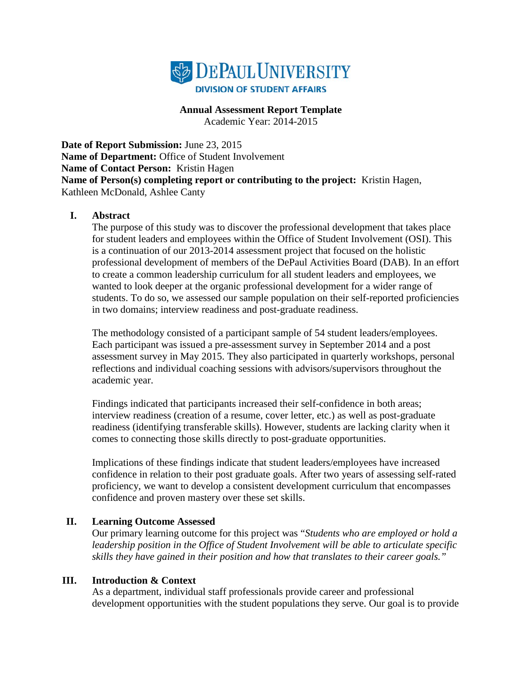

**Annual Assessment Report Template** Academic Year: 2014-2015

**Date of Report Submission:** June 23, 2015 **Name of Department:** Office of Student Involvement **Name of Contact Person:** Kristin Hagen **Name of Person(s) completing report or contributing to the project:** Kristin Hagen, Kathleen McDonald, Ashlee Canty

#### **I. Abstract**

The purpose of this study was to discover the professional development that takes place for student leaders and employees within the Office of Student Involvement (OSI). This is a continuation of our 2013-2014 assessment project that focused on the holistic professional development of members of the DePaul Activities Board (DAB). In an effort to create a common leadership curriculum for all student leaders and employees, we wanted to look deeper at the organic professional development for a wider range of students. To do so, we assessed our sample population on their self-reported proficiencies in two domains; interview readiness and post-graduate readiness.

The methodology consisted of a participant sample of 54 student leaders/employees. Each participant was issued a pre-assessment survey in September 2014 and a post assessment survey in May 2015. They also participated in quarterly workshops, personal reflections and individual coaching sessions with advisors/supervisors throughout the academic year.

Findings indicated that participants increased their self-confidence in both areas; interview readiness (creation of a resume, cover letter, etc.) as well as post-graduate readiness (identifying transferable skills). However, students are lacking clarity when it comes to connecting those skills directly to post-graduate opportunities.

Implications of these findings indicate that student leaders/employees have increased confidence in relation to their post graduate goals. After two years of assessing self-rated proficiency, we want to develop a consistent development curriculum that encompasses confidence and proven mastery over these set skills.

#### **II. Learning Outcome Assessed**

Our primary learning outcome for this project was "*Students who are employed or hold a leadership position in the Office of Student Involvement will be able to articulate specific skills they have gained in their position and how that translates to their career goals."*

#### **III. Introduction & Context**

As a department, individual staff professionals provide career and professional development opportunities with the student populations they serve. Our goal is to provide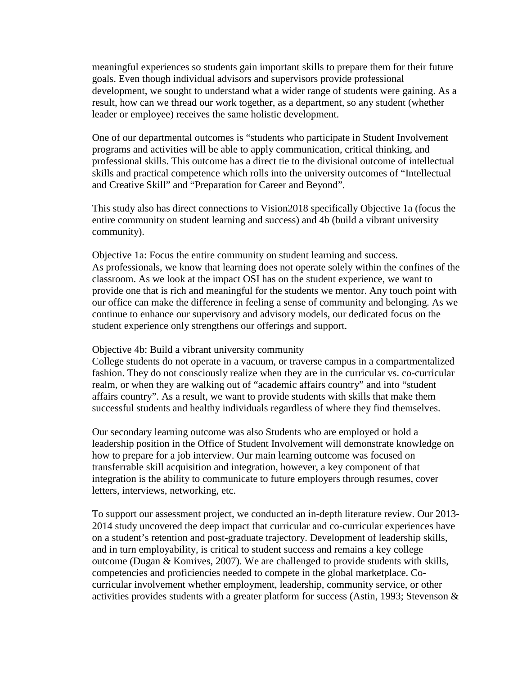meaningful experiences so students gain important skills to prepare them for their future goals. Even though individual advisors and supervisors provide professional development, we sought to understand what a wider range of students were gaining. As a result, how can we thread our work together, as a department, so any student (whether leader or employee) receives the same holistic development.

One of our departmental outcomes is "students who participate in Student Involvement programs and activities will be able to apply communication, critical thinking, and professional skills. This outcome has a direct tie to the divisional outcome of intellectual skills and practical competence which rolls into the university outcomes of "Intellectual and Creative Skill" and "Preparation for Career and Beyond".

This study also has direct connections to Vision2018 specifically Objective 1a (focus the entire community on student learning and success) and 4b (build a vibrant university community).

Objective 1a: Focus the entire community on student learning and success. As professionals, we know that learning does not operate solely within the confines of the classroom. As we look at the impact OSI has on the student experience, we want to provide one that is rich and meaningful for the students we mentor. Any touch point with our office can make the difference in feeling a sense of community and belonging. As we continue to enhance our supervisory and advisory models, our dedicated focus on the student experience only strengthens our offerings and support.

Objective 4b: Build a vibrant university community

College students do not operate in a vacuum, or traverse campus in a compartmentalized fashion. They do not consciously realize when they are in the curricular vs. co-curricular realm, or when they are walking out of "academic affairs country" and into "student affairs country". As a result, we want to provide students with skills that make them successful students and healthy individuals regardless of where they find themselves.

Our secondary learning outcome was also Students who are employed or hold a leadership position in the Office of Student Involvement will demonstrate knowledge on how to prepare for a job interview. Our main learning outcome was focused on transferrable skill acquisition and integration, however, a key component of that integration is the ability to communicate to future employers through resumes, cover letters, interviews, networking, etc.

To support our assessment project, we conducted an in-depth literature review. Our 2013- 2014 study uncovered the deep impact that curricular and co-curricular experiences have on a student's retention and post-graduate trajectory. Development of leadership skills, and in turn employability, is critical to student success and remains a key college outcome (Dugan & Komives, 2007). We are challenged to provide students with skills, competencies and proficiencies needed to compete in the global marketplace. Cocurricular involvement whether employment, leadership, community service, or other activities provides students with a greater platform for success (Astin, 1993; Stevenson &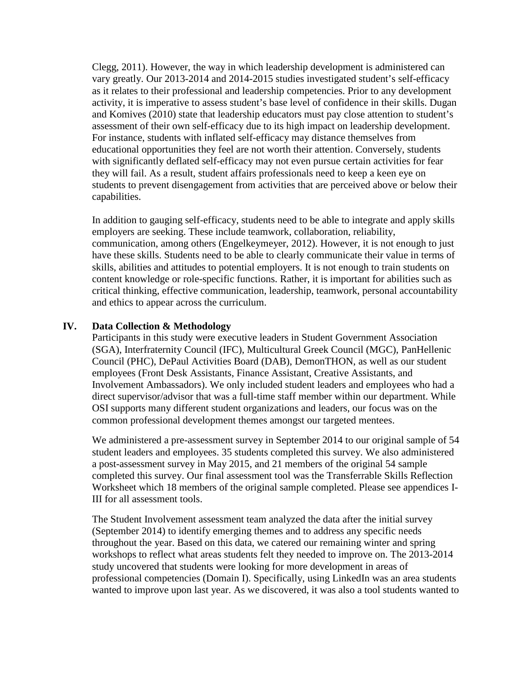Clegg, 2011). However, the way in which leadership development is administered can vary greatly. Our 2013-2014 and 2014-2015 studies investigated student's self-efficacy as it relates to their professional and leadership competencies. Prior to any development activity, it is imperative to assess student's base level of confidence in their skills. Dugan and Komives (2010) state that leadership educators must pay close attention to student's assessment of their own self-efficacy due to its high impact on leadership development. For instance, students with inflated self-efficacy may distance themselves from educational opportunities they feel are not worth their attention. Conversely, students with significantly deflated self-efficacy may not even pursue certain activities for fear they will fail. As a result, student affairs professionals need to keep a keen eye on students to prevent disengagement from activities that are perceived above or below their capabilities.

In addition to gauging self-efficacy, students need to be able to integrate and apply skills employers are seeking. These include teamwork, collaboration, reliability, communication, among others (Engelkeymeyer, 2012). However, it is not enough to just have these skills. Students need to be able to clearly communicate their value in terms of skills, abilities and attitudes to potential employers. It is not enough to train students on content knowledge or role-specific functions. Rather, it is important for abilities such as critical thinking, effective communication, leadership, teamwork, personal accountability and ethics to appear across the curriculum.

#### **IV. Data Collection & Methodology**

Participants in this study were executive leaders in Student Government Association (SGA), Interfraternity Council (IFC), Multicultural Greek Council (MGC), PanHellenic Council (PHC), DePaul Activities Board (DAB), DemonTHON, as well as our student employees (Front Desk Assistants, Finance Assistant, Creative Assistants, and Involvement Ambassadors). We only included student leaders and employees who had a direct supervisor/advisor that was a full-time staff member within our department. While OSI supports many different student organizations and leaders, our focus was on the common professional development themes amongst our targeted mentees.

We administered a pre-assessment survey in September 2014 to our original sample of 54 student leaders and employees. 35 students completed this survey. We also administered a post-assessment survey in May 2015, and 21 members of the original 54 sample completed this survey. Our final assessment tool was the Transferrable Skills Reflection Worksheet which 18 members of the original sample completed. Please see appendices I-III for all assessment tools.

The Student Involvement assessment team analyzed the data after the initial survey (September 2014) to identify emerging themes and to address any specific needs throughout the year. Based on this data, we catered our remaining winter and spring workshops to reflect what areas students felt they needed to improve on. The 2013-2014 study uncovered that students were looking for more development in areas of professional competencies (Domain I). Specifically, using LinkedIn was an area students wanted to improve upon last year. As we discovered, it was also a tool students wanted to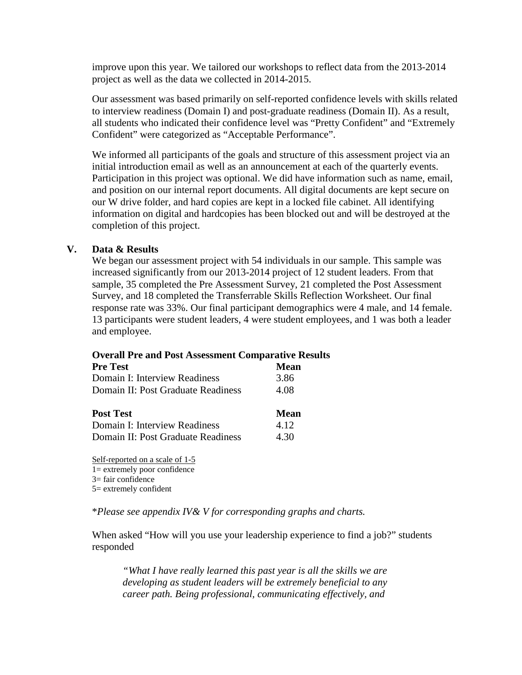improve upon this year. We tailored our workshops to reflect data from the 2013-2014 project as well as the data we collected in 2014-2015.

Our assessment was based primarily on self-reported confidence levels with skills related to interview readiness (Domain I) and post-graduate readiness (Domain II). As a result, all students who indicated their confidence level was "Pretty Confident" and "Extremely Confident" were categorized as "Acceptable Performance".

We informed all participants of the goals and structure of this assessment project via an initial introduction email as well as an announcement at each of the quarterly events. Participation in this project was optional. We did have information such as name, email, and position on our internal report documents. All digital documents are kept secure on our W drive folder, and hard copies are kept in a locked file cabinet. All identifying information on digital and hardcopies has been blocked out and will be destroyed at the completion of this project.

#### **V. Data & Results**

We began our assessment project with 54 individuals in our sample. This sample was increased significantly from our 2013-2014 project of 12 student leaders. From that sample, 35 completed the Pre Assessment Survey, 21 completed the Post Assessment Survey, and 18 completed the Transferrable Skills Reflection Worksheet. Our final response rate was 33%. Our final participant demographics were 4 male, and 14 female. 13 participants were student leaders, 4 were student employees, and 1 was both a leader and employee.

#### **Overall Pre and Post Assessment Comparative Results**

| <b>Pre Test</b>                    | <b>Mean</b> |
|------------------------------------|-------------|
| Domain I: Interview Readiness      | 3.86        |
| Domain II: Post Graduate Readiness | 4.08        |
|                                    |             |
| <b>Post Test</b>                   | <b>Mean</b> |
| Domain I: Interview Readiness      | 4.12        |
| Domain II: Post Graduate Readiness | 4.30        |

Self-reported on a scale of 1-5 1= extremely poor confidence 3= fair confidence 5= extremely confident

\**Please see appendix IV& V for corresponding graphs and charts.* 

When asked "How will you use your leadership experience to find a job?" students responded

*"What I have really learned this past year is all the skills we are developing as student leaders will be extremely beneficial to any career path. Being professional, communicating effectively, and*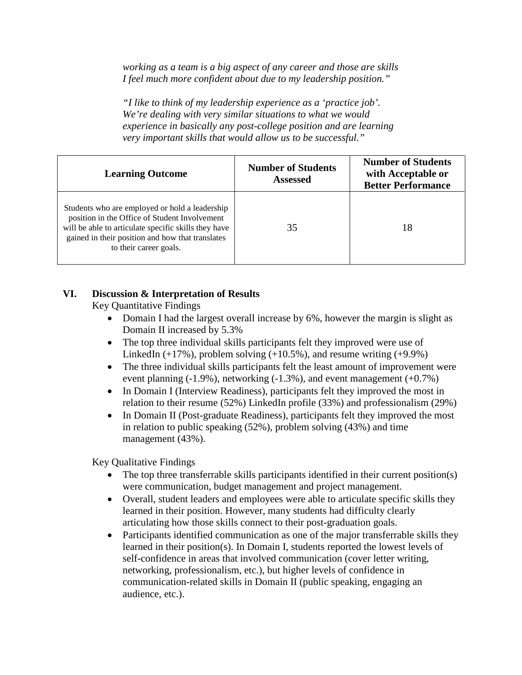*working as a team is a big aspect of any career and those are skills I feel much more confident about due to my leadership position."*

*"I like to think of my leadership experience as a 'practice job'. We're dealing with very similar situations to what we would experience in basically any post-college position and are learning very important skills that would allow us to be successful."*

| <b>Learning Outcome</b>                                                                                                                                                                                                               | <b>Number of Students</b><br><b>Assessed</b> | <b>Number of Students</b><br>with Acceptable or<br><b>Better Performance</b> |
|---------------------------------------------------------------------------------------------------------------------------------------------------------------------------------------------------------------------------------------|----------------------------------------------|------------------------------------------------------------------------------|
| Students who are employed or hold a leadership<br>position in the Office of Student Involvement<br>will be able to articulate specific skills they have<br>gained in their position and how that translates<br>to their career goals. | 35                                           | 18                                                                           |

### **VI. Discussion & Interpretation of Results**

Key Quantitative Findings

- Domain I had the largest overall increase by 6%, however the margin is slight as Domain II increased by 5.3%
- The top three individual skills participants felt they improved were use of LinkedIn  $(+17%)$ , problem solving  $(+10.5%)$ , and resume writing  $(+9.9%)$
- The three individual skills participants felt the least amount of improvement were event planning (-1.9%), networking (-1.3%), and event management (+0.7%)
- In Domain I (Interview Readiness), participants felt they improved the most in relation to their resume (52%) LinkedIn profile (33%) and professionalism (29%)
- In Domain II (Post-graduate Readiness), participants felt they improved the most in relation to public speaking (52%), problem solving (43%) and time management (43%).

Key Qualitative Findings

- The top three transferrable skills participants identified in their current position(s) were communication, budget management and project management.
- Overall, student leaders and employees were able to articulate specific skills they learned in their position. However, many students had difficulty clearly articulating how those skills connect to their post-graduation goals.
- Participants identified communication as one of the major transferrable skills they learned in their position(s). In Domain I, students reported the lowest levels of self-confidence in areas that involved communication (cover letter writing, networking, professionalism, etc.), but higher levels of confidence in communication-related skills in Domain II (public speaking, engaging an audience, etc.).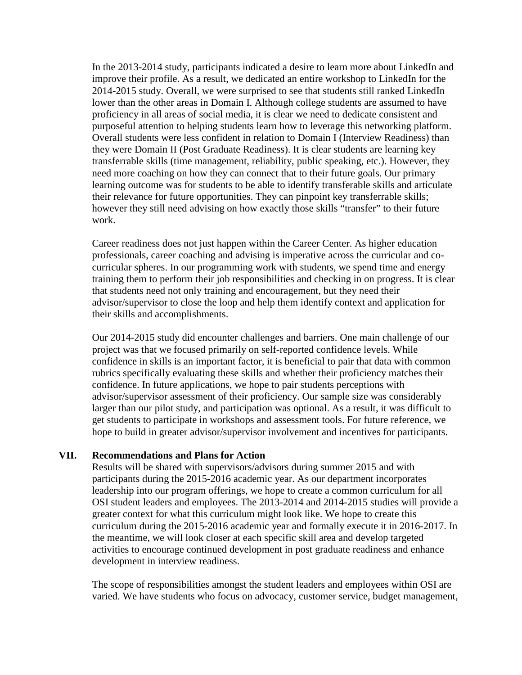In the 2013-2014 study, participants indicated a desire to learn more about LinkedIn and improve their profile. As a result, we dedicated an entire workshop to LinkedIn for the 2014-2015 study. Overall, we were surprised to see that students still ranked LinkedIn lower than the other areas in Domain I. Although college students are assumed to have proficiency in all areas of social media, it is clear we need to dedicate consistent and purposeful attention to helping students learn how to leverage this networking platform. Overall students were less confident in relation to Domain I (Interview Readiness) than they were Domain II (Post Graduate Readiness). It is clear students are learning key transferrable skills (time management, reliability, public speaking, etc.). However, they need more coaching on how they can connect that to their future goals. Our primary learning outcome was for students to be able to identify transferable skills and articulate their relevance for future opportunities. They can pinpoint key transferrable skills; however they still need advising on how exactly those skills "transfer" to their future work.

Career readiness does not just happen within the Career Center. As higher education professionals, career coaching and advising is imperative across the curricular and cocurricular spheres. In our programming work with students, we spend time and energy training them to perform their job responsibilities and checking in on progress. It is clear that students need not only training and encouragement, but they need their advisor/supervisor to close the loop and help them identify context and application for their skills and accomplishments.

Our 2014-2015 study did encounter challenges and barriers. One main challenge of our project was that we focused primarily on self-reported confidence levels. While confidence in skills is an important factor, it is beneficial to pair that data with common rubrics specifically evaluating these skills and whether their proficiency matches their confidence. In future applications, we hope to pair students perceptions with advisor/supervisor assessment of their proficiency. Our sample size was considerably larger than our pilot study, and participation was optional. As a result, it was difficult to get students to participate in workshops and assessment tools. For future reference, we hope to build in greater advisor/supervisor involvement and incentives for participants.

#### **VII. Recommendations and Plans for Action**

Results will be shared with supervisors/advisors during summer 2015 and with participants during the 2015-2016 academic year. As our department incorporates leadership into our program offerings, we hope to create a common curriculum for all OSI student leaders and employees. The 2013-2014 and 2014-2015 studies will provide a greater context for what this curriculum might look like. We hope to create this curriculum during the 2015-2016 academic year and formally execute it in 2016-2017. In the meantime, we will look closer at each specific skill area and develop targeted activities to encourage continued development in post graduate readiness and enhance development in interview readiness.

The scope of responsibilities amongst the student leaders and employees within OSI are varied. We have students who focus on advocacy, customer service, budget management,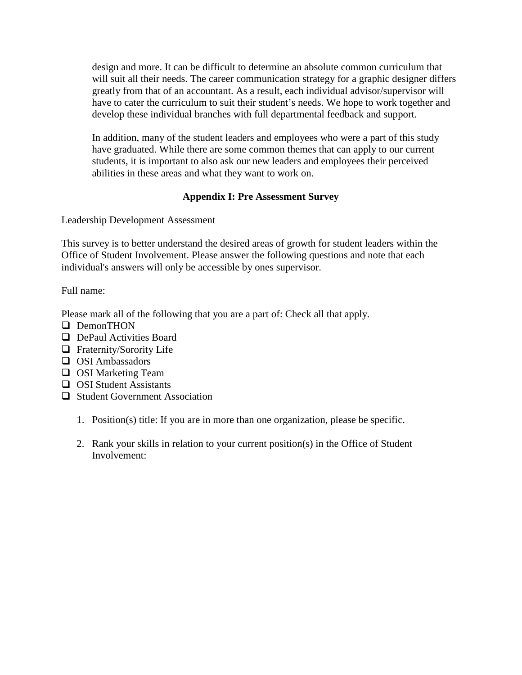design and more. It can be difficult to determine an absolute common curriculum that will suit all their needs. The career communication strategy for a graphic designer differs greatly from that of an accountant. As a result, each individual advisor/supervisor will have to cater the curriculum to suit their student's needs. We hope to work together and develop these individual branches with full departmental feedback and support.

In addition, many of the student leaders and employees who were a part of this study have graduated. While there are some common themes that can apply to our current students, it is important to also ask our new leaders and employees their perceived abilities in these areas and what they want to work on.

## **Appendix I: Pre Assessment Survey**

Leadership Development Assessment

This survey is to better understand the desired areas of growth for student leaders within the Office of Student Involvement. Please answer the following questions and note that each individual's answers will only be accessible by ones supervisor.

Full name:

Please mark all of the following that you are a part of: Check all that apply.

- DemonTHON
- **DePaul Activities Board**
- $\Box$  Fraternity/Sorority Life
- $\Box$  OSI Ambassadors
- **OSI** Marketing Team
- $\Box$  OSI Student Assistants
- $\Box$  Student Government Association
	- 1. Position(s) title: If you are in more than one organization, please be specific.
	- 2. Rank your skills in relation to your current position(s) in the Office of Student Involvement: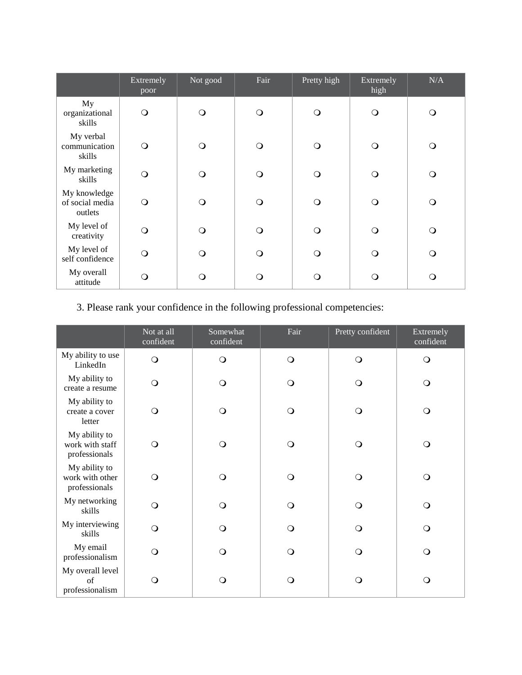|                                            | Extremely<br>poor | Not good | Fair     | Pretty high | Extremely<br>high | N/A      |
|--------------------------------------------|-------------------|----------|----------|-------------|-------------------|----------|
| My<br>organizational<br>skills             | $\mathsf{O}$      | ∩        | $\Omega$ | $\Omega$    | $\circ$           | $\Omega$ |
| My verbal<br>communication<br>skills       | $\circ$           | $\Omega$ | $\Omega$ | ∩           | $\bigcirc$        | $\Omega$ |
| My marketing<br>skills                     | O                 | ∩        | $\Omega$ | ∩           | $\Omega$          | $\Omega$ |
| My knowledge<br>of social media<br>outlets | $\Omega$          | ∩        | $\Omega$ | ∩           | $\Omega$          | $\Omega$ |
| My level of<br>creativity                  | ∩                 | $\Omega$ | $\Omega$ | $\Omega$    | $\Omega$          | $\Omega$ |
| My level of<br>self confidence             | O                 | $\Omega$ | Q        | $\Omega$    | $\Omega$          | $\Omega$ |
| My overall<br>attitude                     | ∩                 | ∩        | O        | ∩           | $\Omega$          | $\Omega$ |

# 3. Please rank your confidence in the following professional competencies:

|                                                   | Not at all<br>confident | Somewhat<br>confident | Fair     | Pretty confident | Extremely<br>confident |
|---------------------------------------------------|-------------------------|-----------------------|----------|------------------|------------------------|
| My ability to use<br>LinkedIn                     | $\bigcirc$              | $\bigcirc$            | $\circ$  | $\circ$          | $\circ$                |
| My ability to<br>create a resume                  | $\circ$                 | $\circ$               | $\circ$  | $\circ$          | $\circ$                |
| My ability to<br>create a cover<br>letter         | $\circ$                 | $\circ$               | $\Omega$ | $\bigcirc$       | $\circ$                |
| My ability to<br>work with staff<br>professionals | $\circ$                 | $\circ$               | $\Omega$ | $\Omega$         | $\circ$                |
| My ability to<br>work with other<br>professionals | $\circ$                 | $\circ$               | $\Omega$ | $\Omega$         | $\circ$                |
| My networking<br>skills                           | $\circ$                 | $\overline{O}$        | $\Omega$ | $\bigcirc$       | $\circ$                |
| My interviewing<br>skills                         | $\circ$                 | $\circ$               | $\Omega$ | $\bigcirc$       | $\circ$                |
| My email<br>professionalism                       | $\circ$                 | $\circ$               | $\Omega$ | $\circ$          | $\circ$                |
| My overall level<br>$\sigma$ f<br>professionalism | $\circ$                 | $\Omega$              | $\Omega$ | $\Omega$         | $\circ$                |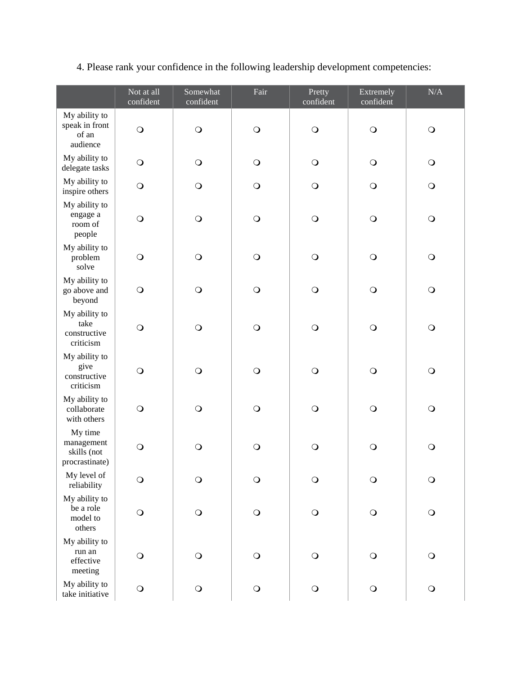|  |  | 4. Please rank your confidence in the following leadership development competencies: |
|--|--|--------------------------------------------------------------------------------------|
|  |  |                                                                                      |

|                                                        | Not at all<br>confident | Somewhat<br>confident | Fair           | Pretty<br>confident | Extremely<br>confident | $\rm N/A$  |
|--------------------------------------------------------|-------------------------|-----------------------|----------------|---------------------|------------------------|------------|
| My ability to<br>speak in front<br>of an<br>audience   | $\circ$                 | $\mathsf{O}$          | $\mathbf O$    | $\bigcirc$          | $\bigcirc$             | $\bigcirc$ |
| My ability to<br>delegate tasks                        | $\circ$                 | $\bigcirc$            | $\bigcirc$     | $\bigcirc$          | $\bigcirc$             | $\bigcirc$ |
| My ability to<br>inspire others                        | $\circ$                 | $\mathsf{O}$          | $\bigcirc$     | $\bigcirc$          | $\bigcirc$             | $\bigcirc$ |
| My ability to<br>engage a<br>room of<br>people         | $\circ$                 | $\bigcirc$            | $\mathbf O$    | $\bigcirc$          | $\bigcirc$             | $\bigcirc$ |
| My ability to<br>problem<br>solve                      | $\bigcirc$              | $\mathsf{O}$          | $\bigcirc$     | $\bigcirc$          | $\bigcirc$             | $\bigcirc$ |
| My ability to<br>go above and<br>beyond                | $\circ$                 | $\bigcirc$            | $\bigcirc$     | $\bigcirc$          | $\bigcirc$             | $\bigcirc$ |
| My ability to<br>take<br>constructive<br>criticism     | $\bigcirc$              | $\mathsf{O}$          | $\bigcirc$     | $\mathbf O$         | $\bigcirc$             | $\bigcirc$ |
| My ability to<br>give<br>constructive<br>criticism     | $\circ$                 | $\bigcirc$            | $\overline{O}$ | $\bigcirc$          | $\bigcirc$             | $\bigcirc$ |
| My ability to<br>collaborate<br>with others            | $\circ$                 | $\bigcirc$            | $\bigcirc$     | $\bigcirc$          | $\bigcirc$             | $\bigcirc$ |
| My time<br>management<br>skills (not<br>procrastinate) | $\circ$                 | $\bigcirc$            | $\bigcirc$     | $\bigcirc$          | $\bigcirc$             | $\bigcirc$ |
| My level of<br>reliability                             | $\bigcirc$              | $\bigcirc$            | $\mathbf O$    | $\bigcirc$          | $\bigcirc$             | $\bigcirc$ |
| My ability to<br>be a role<br>model to<br>others       | $\bigcirc$              | $\bigcirc$            | $\bigcirc$     | $\bigcirc$          | $\bigcirc$             | $\bigcirc$ |
| My ability to<br>run an<br>effective<br>meeting        | $\circ$                 | $\bigcirc$            | $\bigcirc$     | $\bigcirc$          | $\bigcirc$             | $\bigcirc$ |
| My ability to<br>take initiative                       | $\bigcirc$              | $\bigcirc$            | $\bigcirc$     | $\mathsf{O}$        | $\bigcirc$             | $\bigcirc$ |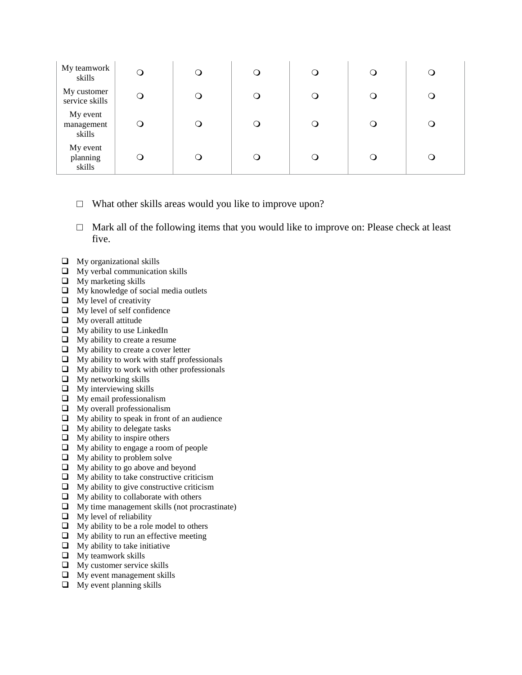| My teamwork<br>skills            |            | ر | a | O |  |
|----------------------------------|------------|---|---|---|--|
| My customer<br>service skills    | $\bigcirc$ | ر |   | O |  |
| My event<br>management<br>skills |            |   |   | Ő |  |
| My event<br>planning<br>skills   |            | ر |   | Ő |  |

- $\Box$  What other skills areas would you like to improve upon?
- $\Box$  Mark all of the following items that you would like to improve on: Please check at least five.
- $\Box$  My organizational skills
- $\Box$  My verbal communication skills
- $\Box$  My marketing skills
- $\Box$  My knowledge of social media outlets
- $\Box$  My level of creativity
- My level of self confidence
- $\Box$  My overall attitude
- $\Box$  My ability to use LinkedIn
- $\Box$  My ability to create a resume
- $\Box$  My ability to create a cover letter
- $\Box$  My ability to work with staff professionals
- $\Box$  My ability to work with other professionals
- $\Box$  My networking skills
- $\Box$  My interviewing skills
- $\Box$  My email professionalism
- $\Box$  My overall professionalism
- $\Box$  My ability to speak in front of an audience
- $\Box$  My ability to delegate tasks
- $\Box$  My ability to inspire others
- $\Box$  My ability to engage a room of people
- $\Box$  My ability to problem solve
- $\Box$  My ability to go above and beyond
- $\Box$  My ability to take constructive criticism
- $\Box$  My ability to give constructive criticism
- $\Box$  My ability to collaborate with others
- $\Box$  My time management skills (not procrastinate)
- $\Box$  My level of reliability
- $\Box$  My ability to be a role model to others
- $\Box$  My ability to run an effective meeting
- $\Box$  My ability to take initiative
- $\Box$  My teamwork skills
- $\Box$  My customer service skills
- $\Box$  My event management skills
- $\Box$  My event planning skills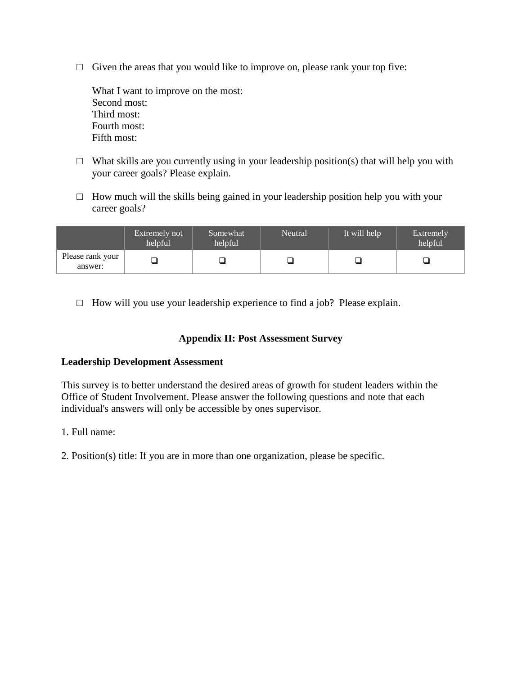$\Box$  Given the areas that you would like to improve on, please rank your top five:

What I want to improve on the most: Second most: Third most: Fourth most: Fifth most:

- $\Box$  What skills are you currently using in your leadership position(s) that will help you with your career goals? Please explain.
- $\Box$  How much will the skills being gained in your leadership position help you with your career goals?

|                             | Extremely not<br>helpful | Somewhat<br>helpful | Neutral | It will help | <b>Extremely</b><br>helpful |
|-----------------------------|--------------------------|---------------------|---------|--------------|-----------------------------|
| Please rank your<br>answer: |                          |                     |         |              |                             |

 $\Box$  How will you use your leadership experience to find a job? Please explain.

#### **Appendix II: Post Assessment Survey**

#### **Leadership Development Assessment**

This survey is to better understand the desired areas of growth for student leaders within the Office of Student Involvement. Please answer the following questions and note that each individual's answers will only be accessible by ones supervisor.

- 1. Full name:
- 2. Position(s) title: If you are in more than one organization, please be specific.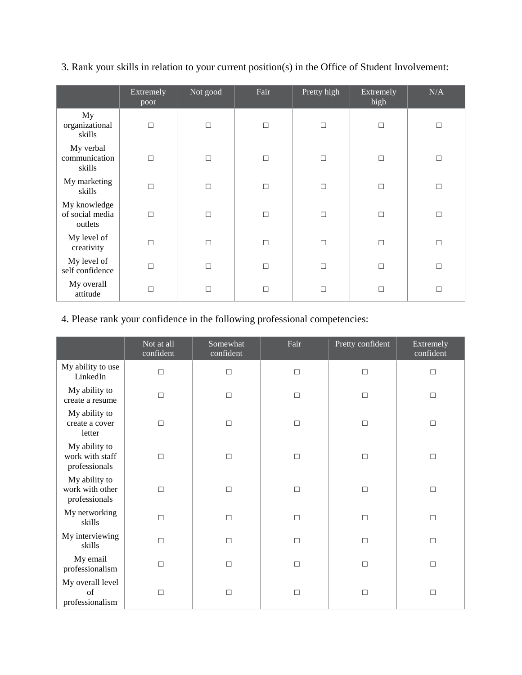|  | 3. Rank your skills in relation to your current position(s) in the Office of Student Involvement: |  |  |  |  |
|--|---------------------------------------------------------------------------------------------------|--|--|--|--|
|--|---------------------------------------------------------------------------------------------------|--|--|--|--|

|                                            | Extremely<br>poor | Not good | Fair   | Pretty high | Extremely<br>high | N/A    |
|--------------------------------------------|-------------------|----------|--------|-------------|-------------------|--------|
| My<br>organizational<br>skills             | $\Box$            | $\Box$   | $\Box$ | $\Box$      | $\Box$            | $\Box$ |
| My verbal<br>communication<br>skills       | $\Box$            | $\Box$   | $\Box$ | $\Box$      | П                 | $\Box$ |
| My marketing<br>skills                     | П                 | $\Box$   | □      | $\Box$      | П                 | $\Box$ |
| My knowledge<br>of social media<br>outlets | П                 | П        | П      | $\Box$      | П                 | $\Box$ |
| My level of<br>creativity                  | П                 | П        | П      | П           | П                 | $\Box$ |
| My level of<br>self confidence             | П                 | П        | П      | $\Box$      | П                 | $\Box$ |
| My overall<br>attitude                     | П                 | П        | П      | П           | П                 | $\Box$ |

## 4. Please rank your confidence in the following professional competencies:

|                                                   | Not at all<br>confident | Somewhat<br>confident | Fair   | Pretty confident | Extremely<br>confident |
|---------------------------------------------------|-------------------------|-----------------------|--------|------------------|------------------------|
| My ability to use<br>LinkedIn                     | $\Box$                  | $\Box$                | $\Box$ | $\Box$           | $\Box$                 |
| My ability to<br>create a resume                  | $\Box$                  | $\Box$                | $\Box$ | $\Box$           | $\Box$                 |
| My ability to<br>create a cover<br>letter         | $\Box$                  | $\Box$                | $\Box$ | $\Box$           | $\Box$                 |
| My ability to<br>work with staff<br>professionals | $\Box$                  | $\Box$                | $\Box$ | $\Box$           | $\Box$                 |
| My ability to<br>work with other<br>professionals | $\Box$                  | $\Box$                | $\Box$ | $\Box$           | $\Box$                 |
| My networking<br>skills                           | $\Box$                  | $\Box$                | $\Box$ | $\Box$           | $\Box$                 |
| My interviewing<br>skills                         | П                       | $\Box$                | $\Box$ | $\Box$           | $\Box$                 |
| My email<br>professionalism                       | $\Box$                  | $\Box$                | $\Box$ | $\Box$           | $\Box$                 |
| My overall level<br>of<br>professionalism         | П                       | $\Box$                | $\Box$ | $\Box$           | $\Box$                 |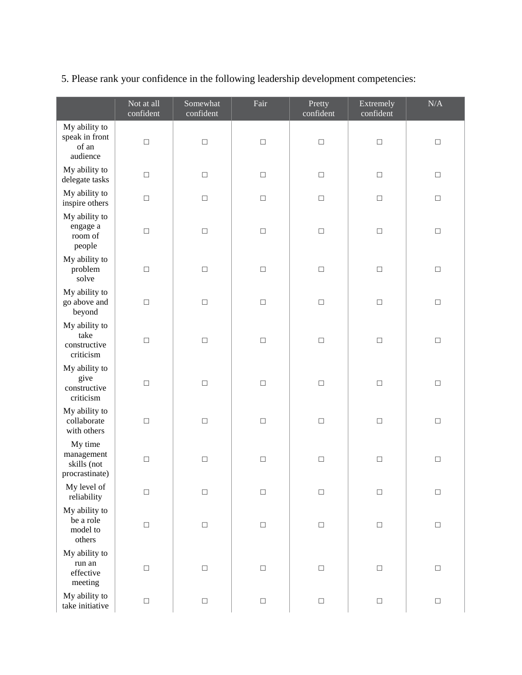|                                                        | Not at all<br>confident | Somewhat<br>confident | Fair            | Pretty<br>confident | Extremely<br>confident | $\rm N/A$ |
|--------------------------------------------------------|-------------------------|-----------------------|-----------------|---------------------|------------------------|-----------|
| My ability to<br>speak in front<br>of an<br>audience   | $\Box$                  | $\Box$                | $\hfill\square$ | $\Box$              | $\Box$                 | $\Box$    |
| My ability to<br>delegate tasks                        | $\Box$                  | $\Box$                | $\Box$          | $\Box$              | $\Box$                 | $\Box$    |
| My ability to<br>inspire others                        | $\Box$                  | $\Box$                | $\Box$          | $\Box$              | $\Box$                 | $\Box$    |
| My ability to<br>engage a<br>room of<br>people         | $\Box$                  | $\Box$                | $\Box$          | $\Box$              | $\Box$                 | $\Box$    |
| My ability to<br>problem<br>solve                      | $\Box$                  | $\Box$                | $\Box$          | $\Box$              | $\Box$                 | $\Box$    |
| My ability to<br>go above and<br>beyond                | $\Box$                  | $\Box$                | $\Box$          | $\Box$              | $\Box$                 | $\Box$    |
| My ability to<br>take<br>constructive<br>criticism     | $\Box$                  | $\Box$                | $\Box$          | $\Box$              | $\Box$                 | $\Box$    |
| My ability to<br>give<br>constructive<br>criticism     | $\Box$                  | $\Box$                | $\Box$          | $\Box$              | $\Box$                 | $\Box$    |
| My ability to<br>collaborate<br>with others            | $\Box$                  | $\Box$                | $\Box$          | $\Box$              | $\Box$                 | $\Box$    |
| My time<br>management<br>skills (not<br>procrastinate) | $\Box$                  | $\Box$                | $\hfill\square$ | $\Box$              | $\Box$                 | $\Box$    |
| My level of<br>reliability                             | $\Box$                  | $\Box$                | $\Box$          | $\Box$              | $\Box$                 | $\Box$    |
| My ability to<br>be a role<br>model to<br>others       | $\Box$                  | $\Box$                | $\Box$          | $\Box$              | $\Box$                 | $\Box$    |
| My ability to<br>run an<br>effective<br>meeting        | $\Box$                  | $\Box$                | $\Box$          | $\Box$              | $\Box$                 | $\Box$    |
| My ability to<br>take initiative                       | $\Box$                  | $\Box$                | $\hfill\square$ | $\Box$              | $\Box$                 | $\Box$    |

## 5. Please rank your confidence in the following leadership development competencies: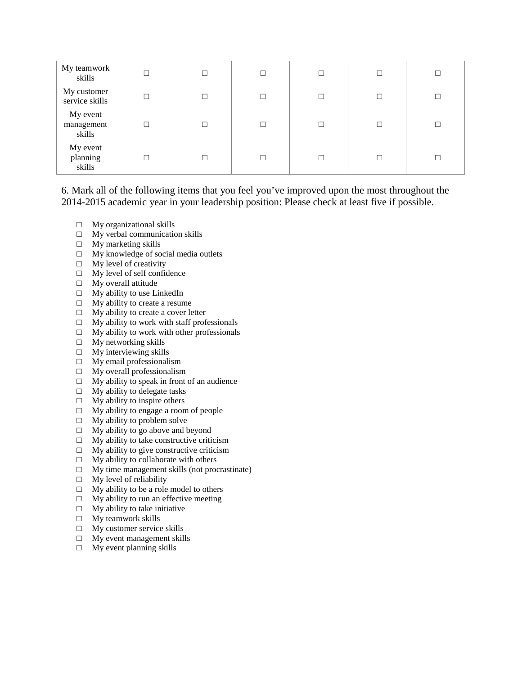| My teamwork<br>skills            | $\Box$ | $\Box$ | П |  |
|----------------------------------|--------|--------|---|--|
| My customer<br>service skills    | П      | $\Box$ | П |  |
| My event<br>management<br>skills | □      | $\Box$ | П |  |
| My event<br>planning<br>skills   |        | $\Box$ | П |  |

6. Mark all of the following items that you feel you've improved upon the most throughout the 2014-2015 academic year in your leadership position: Please check at least five if possible.

- $\Box$  My organizational skills
- □ My verbal communication skills
- $\square$  My marketing skills
- $\Box$  My knowledge of social media outlets
- $\Box$  My level of creativity<br> $\Box$  My level of self confid
- $\Box$  My level of self confidence  $\Box$  My overall attitude
- $\Box$  My overall attitude  $\Box$  My ability to use Li
- $\Box$  My ability to use LinkedIn  $\Box$  My ability to create a resun
- $\Box$  My ability to create a resume  $\Box$  My ability to create a cover le
- $\Box$  My ability to create a cover letter  $\Box$  My ability to work with staff prof
- $\Box$  My ability to work with staff professionals  $\Box$  My ability to work with other professionals
- $\Box$  My ability to work with other professionals  $\Box$  My networking skills
- $\Box$  My networking skills  $\Box$  My interviewing skills
- $\Box$  My interviewing skills  $\Box$  My email professionali
- $\Box$  My email professionalism<br> $\Box$  My overall professionalism
- □ My overall professionalism
- $\Box$  My ability to speak in front of an audience  $\Box$  My ability to delegate tasks
- $\Box$  My ability to delegate tasks  $\Box$  My ability to inspire others
- My ability to inspire others
- $\Box$  My ability to engage a room of people<br> $\Box$  My ability to problem solve
- $\Box$  My ability to problem solve  $\Box$  My ability to go above and b
- $\Box$  My ability to go above and beyond  $\Box$  My ability to take constructive critic
- $\Box$  My ability to take constructive criticism  $\Box$  My ability to give constructive criticism
- $\Box$  My ability to give constructive criticism  $\Box$  My ability to collaborate with others
- My ability to collaborate with others
- $\Box$  My time management skills (not procrastinate)<br> $\Box$  My level of reliability
- My level of reliability
- $\Box$  My ability to be a role model to others
- $\Box$  My ability to run an effective meeting  $\Box$  My ability to take initiative
- $\Box$  My ability to take initiative  $\Box$  My teamwork skills
- $\Box$  My teamwork skills  $\Box$  My customer service
- My customer service skills
- □ My event management skills
- □ My event planning skills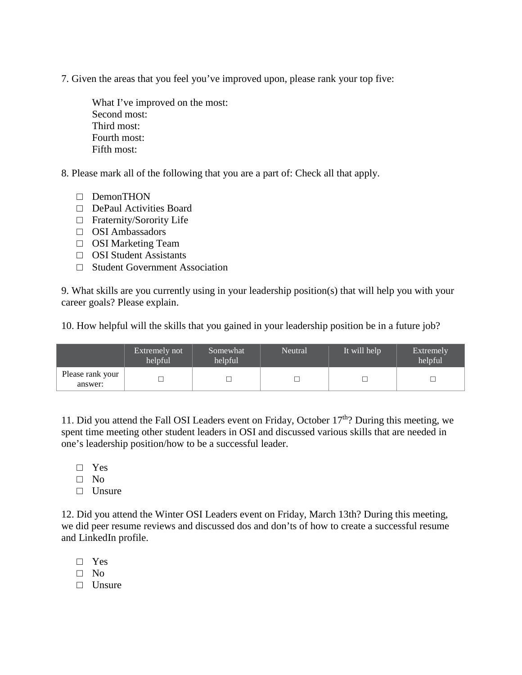7. Given the areas that you feel you've improved upon, please rank your top five:

What I've improved on the most: Second most: Third most: Fourth most: Fifth most:

8. Please mark all of the following that you are a part of: Check all that apply.

- □ DemonTHON
- □ DePaul Activities Board
- □ Fraternity/Sorority Life
- □ OSI Ambassadors
- □ OSI Marketing Team
- □ OSI Student Assistants
- □ Student Government Association

9. What skills are you currently using in your leadership position(s) that will help you with your career goals? Please explain.

10. How helpful will the skills that you gained in your leadership position be in a future job?

|                             | Extremely not<br>helpful | Somewhat<br>helpful | <b>Neutral</b> | It will help | <i>Extremely</i><br>helpful |
|-----------------------------|--------------------------|---------------------|----------------|--------------|-----------------------------|
| Please rank your<br>answer: |                          |                     |                |              |                             |

11. Did you attend the Fall OSI Leaders event on Friday, October 17<sup>th</sup>? During this meeting, we spent time meeting other student leaders in OSI and discussed various skills that are needed in one's leadership position/how to be a successful leader.

- □ Yes
- □ No
- □ Unsure

12. Did you attend the Winter OSI Leaders event on Friday, March 13th? During this meeting, we did peer resume reviews and discussed dos and don'ts of how to create a successful resume and LinkedIn profile.

- □ Yes
- □ No
- □ Unsure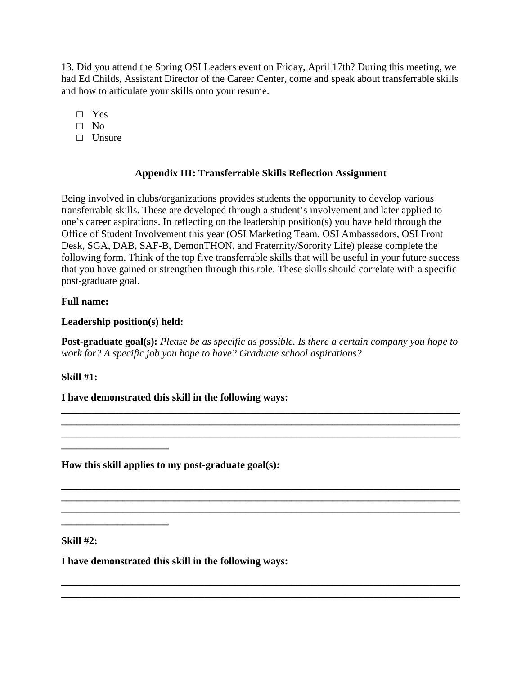13. Did you attend the Spring OSI Leaders event on Friday, April 17th? During this meeting, we had Ed Childs, Assistant Director of the Career Center, come and speak about transferrable skills and how to articulate your skills onto your resume.

- □ Yes
- $\Box$  No
- □ Unsure

## **Appendix III: Transferrable Skills Reflection Assignment**

Being involved in clubs/organizations provides students the opportunity to develop various transferrable skills. These are developed through a student's involvement and later applied to one's career aspirations. In reflecting on the leadership position(s) you have held through the Office of Student Involvement this year (OSI Marketing Team, OSI Ambassadors, OSI Front Desk, SGA, DAB, SAF-B, DemonTHON, and Fraternity/Sorority Life) please complete the following form. Think of the top five transferrable skills that will be useful in your future success that you have gained or strengthen through this role. These skills should correlate with a specific post-graduate goal.

## **Full name:**

**Leadership position(s) held:** 

**Post-graduate goal(s):** *Please be as specific as possible. Is there a certain company you hope to work for? A specific job you hope to have? Graduate school aspirations?*

**\_\_\_\_\_\_\_\_\_\_\_\_\_\_\_\_\_\_\_\_\_\_\_\_\_\_\_\_\_\_\_\_\_\_\_\_\_\_\_\_\_\_\_\_\_\_\_\_\_\_\_\_\_\_\_\_\_\_\_\_\_\_\_\_\_\_\_\_\_\_\_\_\_\_\_\_\_\_ \_\_\_\_\_\_\_\_\_\_\_\_\_\_\_\_\_\_\_\_\_\_\_\_\_\_\_\_\_\_\_\_\_\_\_\_\_\_\_\_\_\_\_\_\_\_\_\_\_\_\_\_\_\_\_\_\_\_\_\_\_\_\_\_\_\_\_\_\_\_\_\_\_\_\_\_\_\_ \_\_\_\_\_\_\_\_\_\_\_\_\_\_\_\_\_\_\_\_\_\_\_\_\_\_\_\_\_\_\_\_\_\_\_\_\_\_\_\_\_\_\_\_\_\_\_\_\_\_\_\_\_\_\_\_\_\_\_\_\_\_\_\_\_\_\_\_\_\_\_\_\_\_\_\_\_\_**

**\_\_\_\_\_\_\_\_\_\_\_\_\_\_\_\_\_\_\_\_\_\_\_\_\_\_\_\_\_\_\_\_\_\_\_\_\_\_\_\_\_\_\_\_\_\_\_\_\_\_\_\_\_\_\_\_\_\_\_\_\_\_\_\_\_\_\_\_\_\_\_\_\_\_\_\_\_\_ \_\_\_\_\_\_\_\_\_\_\_\_\_\_\_\_\_\_\_\_\_\_\_\_\_\_\_\_\_\_\_\_\_\_\_\_\_\_\_\_\_\_\_\_\_\_\_\_\_\_\_\_\_\_\_\_\_\_\_\_\_\_\_\_\_\_\_\_\_\_\_\_\_\_\_\_\_\_ \_\_\_\_\_\_\_\_\_\_\_\_\_\_\_\_\_\_\_\_\_\_\_\_\_\_\_\_\_\_\_\_\_\_\_\_\_\_\_\_\_\_\_\_\_\_\_\_\_\_\_\_\_\_\_\_\_\_\_\_\_\_\_\_\_\_\_\_\_\_\_\_\_\_\_\_\_\_**

**\_\_\_\_\_\_\_\_\_\_\_\_\_\_\_\_\_\_\_\_\_\_\_\_\_\_\_\_\_\_\_\_\_\_\_\_\_\_\_\_\_\_\_\_\_\_\_\_\_\_\_\_\_\_\_\_\_\_\_\_\_\_\_\_\_\_\_\_\_\_\_\_\_\_\_\_\_\_ \_\_\_\_\_\_\_\_\_\_\_\_\_\_\_\_\_\_\_\_\_\_\_\_\_\_\_\_\_\_\_\_\_\_\_\_\_\_\_\_\_\_\_\_\_\_\_\_\_\_\_\_\_\_\_\_\_\_\_\_\_\_\_\_\_\_\_\_\_\_\_\_\_\_\_\_\_\_**

## **Skill #1:**

**I have demonstrated this skill in the following ways:**

**How this skill applies to my post-graduate goal(s):**

**Skill #2:** 

**\_\_\_\_\_\_\_\_\_\_\_\_\_\_\_\_\_\_\_\_\_**

**I have demonstrated this skill in the following ways:**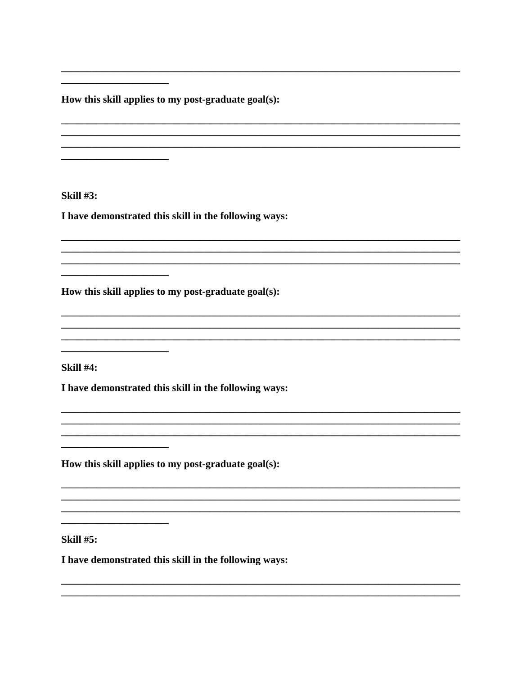How this skill applies to my post-graduate goal(s):

**Skill #3:** 

I have demonstrated this skill in the following ways:

How this skill applies to my post-graduate goal(s):

**Skill #4:** 

I have demonstrated this skill in the following ways:

How this skill applies to my post-graduate goal(s):

**Skill #5:** 

I have demonstrated this skill in the following ways: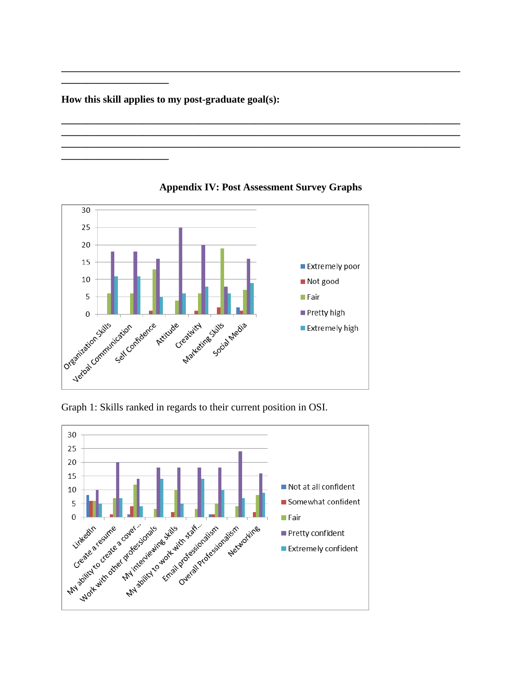How this skill applies to my post-graduate goal(s):



### **Appendix IV: Post Assessment Survey Graphs**

Graph 1: Skills ranked in regards to their current position in OSI.

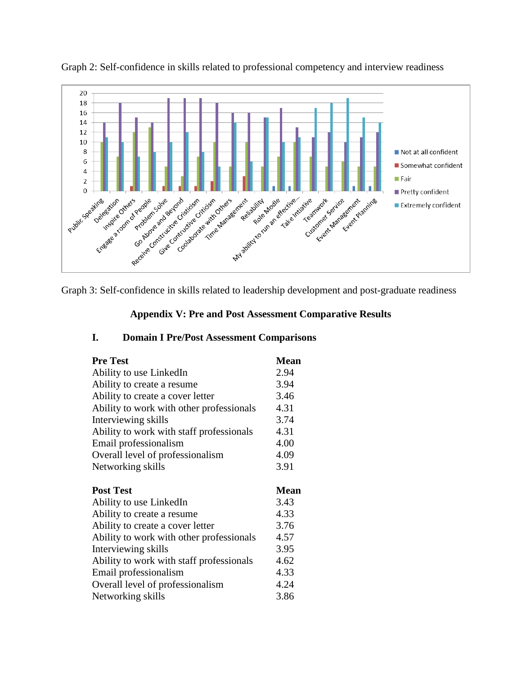

Graph 2: Self-confidence in skills related to professional competency and interview readiness

Graph 3: Self-confidence in skills related to leadership development and post-graduate readiness

#### **Appendix V: Pre and Post Assessment Comparative Results**

| <b>Pre Test</b>                          | <b>Mean</b> |
|------------------------------------------|-------------|
| Ability to use LinkedIn                  | 2.94        |
| Ability to create a resume.              | 3.94        |
| Ability to create a cover letter         | 3.46        |
| Ability to work with other professionals | 4.31        |
| Interviewing skills                      | 3.74        |
| Ability to work with staff professionals | 4.31        |
| Email professionalism                    | 4.00        |
| Overall level of professionalism         | 4.09        |
| Networking skills                        | 3.91        |
|                                          |             |
|                                          |             |
| <b>Post Test</b>                         | <b>Mean</b> |
| Ability to use LinkedIn                  | 3.43        |
| Ability to create a resume               | 4.33        |
| Ability to create a cover letter         | 3.76        |
| Ability to work with other professionals | 4.57        |
| Interviewing skills                      | 3.95        |
| Ability to work with staff professionals | 4.62        |
| Email professionalism                    | 4.33        |
| Overall level of professionalism         | 4.24        |

#### **I. Domain I Pre/Post Assessment Comparisons**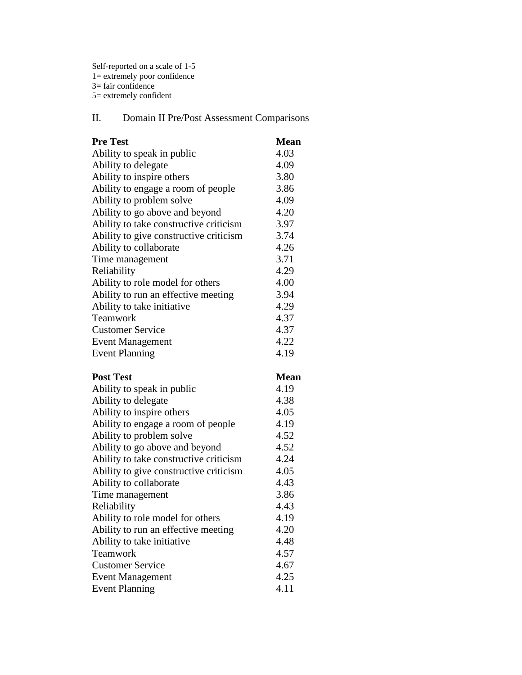Self-reported on a scale of 1-5 1= extremely poor confidence 3= fair confidence 5= extremely confident

## II. Domain II Pre/Post Assessment Comparisons

| <b>Pre Test</b>                        | <b>Mean</b> |
|----------------------------------------|-------------|
| Ability to speak in public             | 4.03        |
| Ability to delegate                    | 4.09        |
| Ability to inspire others              | 3.80        |
| Ability to engage a room of people     | 3.86        |
| Ability to problem solve               | 4.09        |
| Ability to go above and beyond         | 4.20        |
| Ability to take constructive criticism | 3.97        |
| Ability to give constructive criticism | 3.74        |
| Ability to collaborate                 | 4.26        |
| Time management                        | 3.71        |
| Reliability                            | 4.29        |
| Ability to role model for others       | 4.00        |
| Ability to run an effective meeting    | 3.94        |
| Ability to take initiative             | 4.29        |
| Teamwork                               | 4.37        |
| <b>Customer Service</b>                | 4.37        |
| <b>Event Management</b>                | 4.22        |
| <b>Event Planning</b>                  | 4.19        |
|                                        |             |
| <b>Post Test</b>                       | <b>Mean</b> |
| Ability to speak in public             | 4.19        |
| Ability to delegate                    | 4.38        |
| Ability to inspire others              | 4.05        |
| Ability to engage a room of people     | 4.19        |
| Ability to problem solve               | 4.52        |
| Ability to go above and beyond         | 4.52        |
| Ability to take constructive criticism | 4.24        |
| Ability to give constructive criticism | 4.05        |
| Ability to collaborate                 | 4.43        |
| Time management                        | 3.86        |
| Reliability                            | 4.43        |
| Ability to role model for others       | 4.19        |
| Ability to run an effective meeting    | 4.20        |
| Ability to take initiative             | 4.48        |
| Teamwork                               | 4.57        |
| <b>Customer Service</b>                | 4.67        |
| <b>Event Management</b>                | 4.25        |